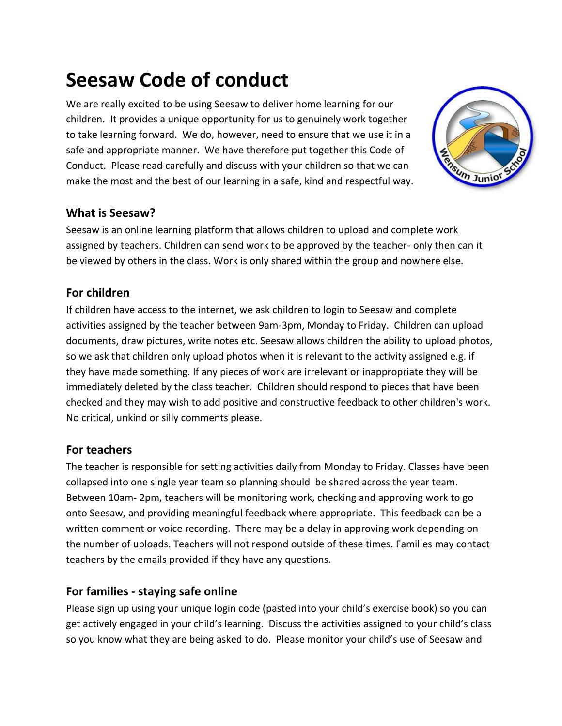# **Seesaw Code of conduct**

We are really excited to be using Seesaw to deliver home learning for our children. It provides a unique opportunity for us to genuinely work together to take learning forward. We do, however, need to ensure that we use it in a safe and appropriate manner. We have therefore put together this Code of Conduct. Please read carefully and discuss with your children so that we can make the most and the best of our learning in a safe, kind and respectful way.



## **What is Seesaw?**

Seesaw is an online learning platform that allows children to upload and complete work assigned by teachers. Children can send work to be approved by the teacher- only then can it be viewed by others in the class. Work is only shared within the group and nowhere else.

## **For children**

If children have access to the internet, we ask children to login to Seesaw and complete activities assigned by the teacher between 9am-3pm, Monday to Friday. Children can upload documents, draw pictures, write notes etc. Seesaw allows children the ability to upload photos, so we ask that children only upload photos when it is relevant to the activity assigned e.g. if they have made something. If any pieces of work are irrelevant or inappropriate they will be immediately deleted by the class teacher. Children should respond to pieces that have been checked and they may wish to add positive and constructive feedback to other children's work. No critical, unkind or silly comments please.

### **For teachers**

The teacher is responsible for setting activities daily from Monday to Friday. Classes have been collapsed into one single year team so planning should be shared across the year team. Between 10am- 2pm, teachers will be monitoring work, checking and approving work to go onto Seesaw, and providing meaningful feedback where appropriate. This feedback can be a written comment or voice recording. There may be a delay in approving work depending on the number of uploads. Teachers will not respond outside of these times. Families may contact teachers by the emails provided if they have any questions.

### **For families - staying safe online**

Please sign up using your unique login code (pasted into your child's exercise book) so you can get actively engaged in your child's learning. Discuss the activities assigned to your child's class so you know what they are being asked to do. Please monitor your child's use of Seesaw and